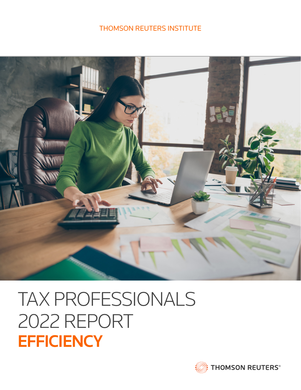## THOMSON REUTERS INSTITUTE



# TAX PROFESSIONALS 2022 REPORT **EFFICIENCY**

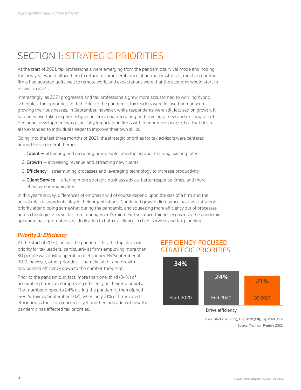# SECTION 1: STRATEGIC PRIORITIES

At the start of 2021, tax professionals were emerging from the pandemic survival mode and hoping the new year would allow them to return to some semblance of normalcy. After all, most accounting firms had adapted quite well to remote work, and expectations were that the economy would start to recover in 2021.

Interestingly, as 2021 progressed and tax professionals grew more accustomed to working hybrid schedules, their priorities shifted. Prior to the pandemic, tax leaders were focused primarily on growing their businesses. In September, however, while respondents were still focused on growth, it had been overtaken in priority by a concern about recruiting and training of new and existing talent. Personnel development was especially important in firms with four or more people, but that desire also extended to individuals eager to improve their own skills.

Going into the last three months of 2021, the strategic priorities for tax advisors were centered around these general themes:

- 1. **Talent**  $-$  attracting and recruiting new people; developing and retaining existing talent
- 2. Growth  $-$  increasing revenue and attracting new clients
- 3. **Efficiency** streamlining processes and leveraging technology to increase productivity
- 4. **Client Service**  $-$  offering more strategic business advice, better response times, and more effective communication

In this year's survey, differences of emphasis will of course depend upon the size of a firm and the actual roles respondents play in their organizations. Continued growth did bounce back as a strategic priority after dipping somewhat during the pandemic, and squeezing more efficiency out of processes and technologies is never far from management's mind. Further, uncertainties exposed by the pandemic appear to have prompted a re-dedication to both excellence in client services and tax planning.

#### *Priority 3: Efficiency*

At the start of 2020, before the pandemic hit, the top strategic priority for tax leaders, particularly at firms employing more than 30 people was driving operational efficiency. By September of 2021, however, other priorities  $-$  namely talent and growth  $$ had pushed efficiency down to the number three slot.

Prior to the pandemic, in fact, more than one-third (34%) of accounting firms rated improving efficiency as their top priority. That number dipped to 24% during the pandemic, then dipped *even further* by September 2021, when only 21% of firms rated efficiency as their top concern  $-$  yet another indication of how the pandemic has affected tax priorities.

#### EFFICIENCY-FOCUSED STRATEGIC PRIORITIES



Base: Start 2020 (139); End 2020 (131); Sep 2021 (410) Source: Thomson Reuters 2022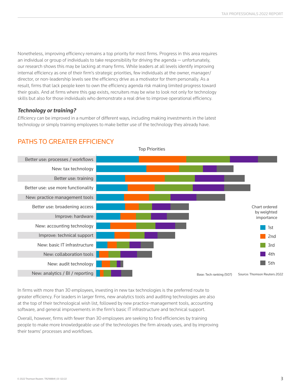Nonetheless, improving efficiency remains a top priority for most firms. Progress in this area requires an individual or group of individuals to take responsibility for driving the agenda — unfortunately, our research shows this may be lacking at many firms. While leaders at all levels identify improving internal efficiency as one of their firm's strategic priorities, few individuals at the owner, manager/ director, or non-leadership levels see the efficiency drive as a motivator for them personally. As a result, firms that lack people keen to own the efficiency agenda risk making limited progress toward their goals. And at firms where this gap exists, recruiters may be wise to look not only for technology skills but also for those individuals who demonstrate a real drive to improve operational efficiency.

#### *Technology or training?*

*Efficiency* can be improved in a number of different ways, including making investments in the latest technology or simply training employees to make better use of the technology they already have.



### PATHS TO GREATER EFFICIENCY

In firms with more than 30 employees, investing in new tax technologies is the preferred route to greater efficiency. For leaders in larger firms, new analytics tools and auditing technologies are also at the top of their technological wish list, followed by new practice-management tools, accounting software, and general improvements in the firm's basic IT infrastructure and technical support.

Overall, however, firms with fewer than 30 employees are seeking to find efficiencies by training people to make more knowledgeable use of the technologies the firm already uses, and by improving their teams' processes and workflows.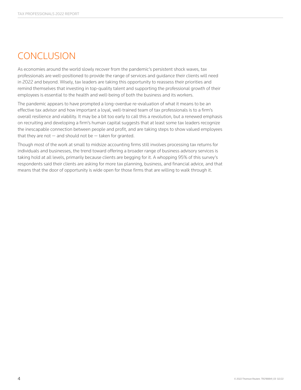## CONCLUSION

As economies around the world slowly recover from the pandemic's persistent shock waves, tax professionals are well-positioned to provide the range of services and guidance their clients will need in 2022 and beyond. Wisely, tax leaders are taking this opportunity to reassess their priorities and remind themselves that investing in top-quality talent and supporting the professional growth of their employees is essential to the health and well-being of both the business and its workers.

The pandemic appears to have prompted a long-overdue re-evaluation of what it means to be an effective tax advisor and how important a loyal, well-trained team of tax professionals is to a firm's overall resilience and viability. It may be a bit too early to call this a revolution, but a renewed emphasis on recruiting and developing a firm's human capital suggests that at least some tax leaders recognize the inescapable connection between people and profit, and are taking steps to show valued employees that they are not  $-$  and should not be  $-$  taken for granted.

Though most of the work at small to midsize accounting firms still involves processing tax returns for individuals and businesses, the trend toward offering a broader range of business advisory services is taking hold at all levels, primarily because clients are begging for it. A whopping 95% of this survey's respondents said their clients are asking for more tax planning, business, and financial advice, and that means that the door of opportunity is wide open for those firms that are willing to walk through it.